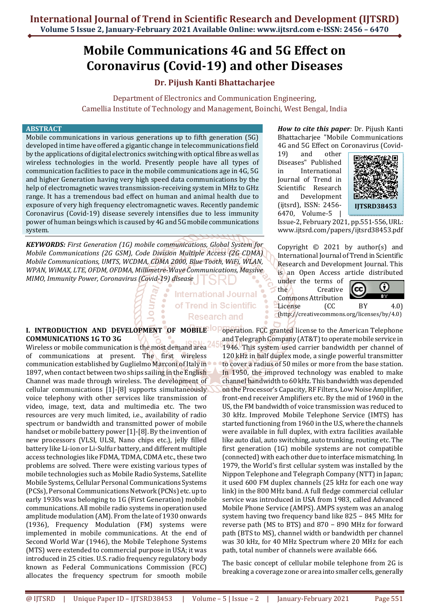# **Mobile Communications 4G and 5G Effect on Coronavirus (Covid-19) and other Diseases**

# **Dr. Pijush Kanti Bhattacharjee**

Department of Electronics and Communication Engineering, Camellia Institute of Technology and Management, Boinchi, West Bengal, India

#### **ABSTRACT**

Mobile communications in various generations up to fifth generation (5G) developed in time have offered a gigantic change in telecommunications field by the applications of digital electronics switching with optical fibre as well as wireless technologies in the world. Presently people have all types of communication facilities to pace in the mobile communications age in 4G, 5G and higher Generation having very high speed data communications by the help of electromagnetic waves transmission-receiving system in MHz to GHz range. It has a tremendous bad effect on human and animal health due to exposure of very high frequency electromagnetic waves. Recently pandemic Coronavirus (Covid-19) disease severely intensifies due to less immunity power of human beings which is caused by 4G and 5G mobile communications system.

*KEYWORDS: First Generation (1G) mobile communications, Global System for Mobile Communications (2G GSM), Code Division Multiple Access (2G CDMA) Mobile Communications, UMTS, WCDMA, CDMA 2000, Blue Tooth, WiFi, WLAN, WPAN, WiMAX, LTE, OFDM, OFDMA, Millimetre-Wave Communications, Massive MIMO, Immunity Power, Coronavirus (Covid-19) disease* 

# **International Journal** of Trend in Scientific **Research and**

*How to cite this paper:* Dr. Pijush Kanti Bhattacharjee "Mobile Communications 4G and 5G Effect on Coronavirus (Covid-

19) and other Diseases" Published in International Journal of Trend in Scientific Research and Development (ijtsrd), ISSN: 2456- 6470, Volume-5 |



Issue-2, February 2021, pp.551-556, URL: www.ijtsrd.com/papers/ijtsrd38453.pdf

Copyright  $\odot$  2021 by author(s) and International Journal of Trend in Scientific Research and Development Journal. This is an Open Access article distributed

(http://creativecommons.org/licenses/by/4.0)

under the terms of the Creative Commons Attribution License (CC BY 4.0)



**I. INTRODUCTION AND DEVELOPMENT OF MOBILE IOP operation. FCC granted license to the American Telephone COMMUNICATIONS 1G TO 3G** 

Wireless or mobile communication is the most demand area of communications at present. The first wireless communication established by Guglielmo Marconi of Italy in 1897, when contact between two ships sailing in the English Channel was made through wireless. The development of cellular communications [1]-[8] supports simultaneously voice telephony with other services like transmission of video, image, text, data and multimedia etc. The two resources are very much limited, i.e., availability of radio spectrum or bandwidth and transmitted power of mobile handset or mobile battery power [1]-[8]. By the invention of new processors (VLSI, ULSI, Nano chips etc.), jelly filled battery like Li-ion or Li-Sulfur battery, and different multiple access technologies like FDMA, TDMA, CDMA etc., these two problems are solved. There were existing various types of mobile technologies such as Mobile Radio Systems, Satellite Mobile Systems, Cellular Personal Communications Systems (PCSs), Personal Communications Network (PCNs) etc. up to early 1930s was belonging to 1G (First Generation) mobile communications. All mobile radio systems in operation used amplitude modulation (AM). From the late of 1930 onwards (1936), Frequency Modulation (FM) systems were implemented in mobile communications. At the end of Second World War (1946), the Mobile Telephone Systems (MTS) were extended to commercial purpose in USA; it was introduced in 25 cities. U.S. radio frequency regulatory body known as Federal Communications Commission (FCC) allocates the frequency spectrum for smooth mobile

and Telegraph Company (AT&T) to operate mobile service in 1946. This system used carrier bandwidth per channel of 120 kHz in half duplex mode, a single powerful transmitter to cover a radius of 50 miles or more from the base station. In 1950, the improved technology was enabled to make channel bandwidth to 60 kHz. This bandwidth was depended on the Processor's Capacity, RF Filters, Low Noise Amplifier, front-end receiver Amplifiers etc. By the mid of 1960 in the US, the FM bandwidth of voice transmission was reduced to 30 kHz. Improved Mobile Telephone Service (IMTS) has started functioning from 1960 in the U.S, where the channels were available in full duplex, with extra facilities available like auto dial, auto switching, auto trunking, routing etc. The first generation (1G) mobile systems are not compatible (connected) with each other due to interface mismatching. In 1979, the World's first cellular system was installed by the Nippon Telephone and Telegraph Company (NTT) in Japan; it used 600 FM duplex channels (25 kHz for each one way link) in the 800 MHz band. A full fledge commercial cellular service was introduced in USA from 1983, called Advanced Mobile Phone Service (AMPS). AMPS system was an analog system having two frequency band like 825 − 845 MHz for reverse path (MS to BTS) and 870 − 890 MHz for forward path (BTS to MS), channel width or bandwidth per channel was 30 kHz, for 40 MHz Spectrum where 20 MHz for each path, total number of channels were available 666.

The basic concept of cellular mobile telephone from 2G is breaking a coverage zone or area into smaller cells, generally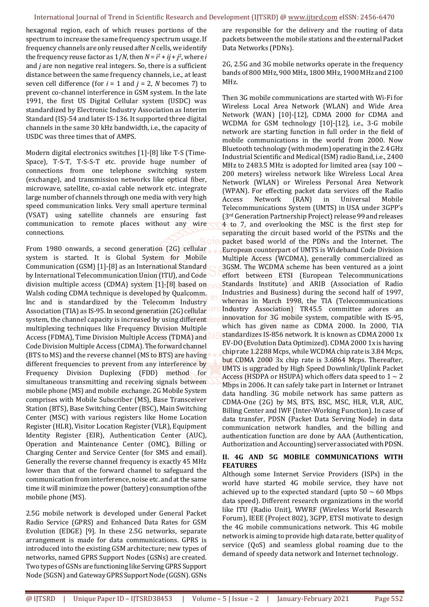hexagonal region, each of which reuses portions of the spectrum to increase the same frequency spectrum usage. If frequency channels are only reused after *N* cells, we identify the frequency reuse factor as  $1/N$ , then  $N = i^2 + ij + j^2$ , where *i* and *j* are non negative real integers. So, there is a sufficient distance between the same frequency channels, i.e., at least seven cell difference (for  $i = 1$  and  $j = 2$ , *N* becomes 7) to prevent co-channel interference in GSM system. In the late 1991, the first US Digital Cellular system (USDC) was standardized by Electronic Industry Association as Interim Standard (IS)-54 and later IS-136. It supported three digital channels in the same 30 kHz bandwidth, i.e., the capacity of USDC was three times that of AMPS.

Modern digital electronics switches [1]-[8] like T-S (Time-Space), T-S-T, T-S-S-T etc. provide huge number of connections from one telephone switching system (exchange), and transmission networks like optical fiber, microwave, satellite, co-axial cable network etc. integrate large number of channels through one media with very high speed communication links. Very small aperture terminal (VSAT) using satellite channels are ensuring fast communication to remote places without any wire connections.

From 1980 onwards, a second generation (2G) cellular system is started. It is Global System for Mobile Communication (GSM) [1]-[8] as an International Standard by International Telecommunication Union (ITU), and Code division multiple access (CDMA) system [1]-[8] based on Walsh coding CDMA technique is developed by Qualcomm. Inc and is standardized by the Telecomm Industry Association (TIA) as IS-95. In second generation (2G) cellular system, the channel capacity is increased by using different. multiplexing techniques like Frequency Division Multiple Access (FDMA), Time Division Multiple Access (TDMA) and Code Division Multiple Access (CDMA). The forward channel (BTS to MS) and the reverse channel (MS to BTS) are having different frequencies to prevent from any interference by Frequency Division Duplexing (FDD) method for simultaneous transmitting and receiving signals between mobile phone (MS) and mobile exchange. 2G Mobile System comprises with Mobile Subscriber (MS), Base Transceiver Station (BTS), Base Switching Center (BSC), Main Switching Center (MSC) with various registers like Home Location Register (HLR), Visitor Location Register (VLR), Equipment Identity Register (EIR), Authentication Center (AUC), Operation and Maintenance Center (OMC), Billing or Charging Center and Service Center (for SMS and email). Generally the reverse channel frequency is exactly 45 MHz lower than that of the forward channel to safeguard the communication from interference, noise etc. and at the same time it will minimize the power (battery) consumption of the mobile phone (MS).

2.5G mobile network is developed under General Packet Radio Service (GPRS) and Enhanced Data Rates for GSM Evolution (EDGE) [9]. In these 2.5G networks, separate arrangement is made for data communications. GPRS is introduced into the existing GSM architecture; new types of networks, named GPRS Support Nodes (GSNs) are created. Two types of GSNs are functioning like Serving GPRS Support Node (SGSN) and Gateway GPRS Support Node (GGSN). GSNs

are responsible for the delivery and the routing of data packets between the mobile stations and the external Packet Data Networks (PDNs).

2G, 2.5G and 3G mobile networks operate in the frequency bands of 800 MHz, 900 MHz, 1800 MHz, 1900 MHz and 2100 MHz.

Then 3G mobile communications are started with Wi-Fi for Wireless Local Area Network (WLAN) and Wide Area Network (WAN) [10]-[12], CDMA 2000 for CDMA and WCDMA for GSM technology [10]-[12], i.e., 3-G mobile network are starting function in full order in the field of mobile communications in the world from 2000. Now Bluetooth technology (with modem) operating in the 2.4 GHz Industrial Scientific and Medical (ISM) radio Band, i.e., 2400 MHz to 2483.5 MHz is adopted for limited area (say 100  $\sim$ 200 meters) wireless network like Wireless Local Area Network (WLAN) or Wireless Personal Area Network (WPAN). For effecting packet data services off the Radio Access Network (RAN) in Universal Mobile Telecommunications System (UMTS) in USA under 3GPP's (3rd Generation Partnership Project) release 99 and releases 4 to 7, and overlooking the MSC is the first step for separating the circuit based world of the PSTNs and the packet based world of the PDNs and the Internet. The European counterpart of UMTS is Wideband Code Division Multiple Access (WCDMA), generally commercialized as 3GSM. The WCDMA scheme has been ventured as a joint effort between ETSI (European Telecommunications Standards Institute) and ARIB (Association of Radio Industries and Business) during the second half of 1997, whereas in March 1998, the TIA (Telecommunications Industry Association) TR45.5 committee adores an innovation for 3G mobile system, compatible with IS-95, which has given name as CDMA 2000. In 2000, TIA standardizes IS-856 network. It is known as CDMA 2000 1x EV-DO (Evolution Data Optimized). CDMA 2000 1x is having chip rate 1.2288 Mcps, while WCDMA chip rate is 3.84 Mcps, but CDMA 2000 3x chip rate is 3.6864 Mcps. Thereafter, UMTS is upgraded by High Speed Downlink/Uplink Packet Access (HSDPA or HSUPA) which offers data speed to  $1 \sim 2$ Mbps in 2006. It can safely take part in Internet or Intranet data handling. 3G mobile network has same pattern as CDMA-One (2G) by MS, BTS, BSC, MSC, HLR, VLR, AUC, Billing Center and IWF (Inter-Working Function). In case of data transfer, PDSN (Packet Data Serving Node) in data communication network handles, and the billing and authentication function are done by AAA (Authentication, Authorization and Accounting) server associated with PDSN.

# **II. 4G AND 5G MOBILE COMMUNICATIONS WITH FEATURES**

Although some Internet Service Providers (ISPs) in the world have started 4G mobile service, they have not achieved up to the expected standard (upto  $50 \sim 60$  Mbps data speed). Different research organizations in the world like ITU (Radio Unit), WWRF (Wireless World Research Forum), IEEE (Project 802), 3GPP, ETSI motivate to design the 4G mobile communications network. This 4G mobile network is aiming to provide high data rate, better quality of service (QoS) and seamless global roaming due to the demand of speedy data network and Internet technology.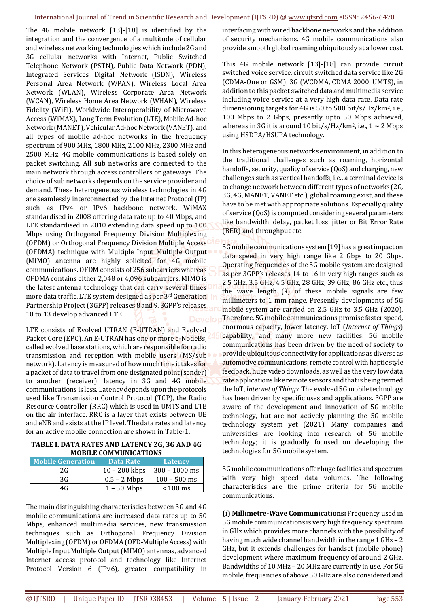#### International Journal of Trend in Scientific Research and Development (IJTSRD) @ www.ijtsrd.com eISSN: 2456-6470

The 4G mobile network [13]-[18] is identified by the integration and the convergence of a multitude of cellular and wireless networking technologies which include 2G and 3G cellular networks with Internet, Public Switched Telephone Network (PSTN), Public Data Network (PDN), Integrated Services Digital Network (ISDN), Wireless Personal Area Network (WPAN), Wireless Local Area Network (WLAN), Wireless Corporate Area Network (WCAN), Wireless Home Area Network (WHAN), Wireless Fidelity (WiFi), Worldwide Interoperability of Microwave Access (WiMAX), Long Term Evolution (LTE), Mobile Ad-hoc Network (MANET), Vehicular Ad-hoc Network (VANET), and all types of mobile ad-hoc networks in the frequency spectrum of 900 MHz, 1800 MHz, 2100 MHz, 2300 MHz and 2500 MHz. 4G mobile communications is based solely on packet switching. All sub networks are connected to the main network through access controllers or gateways. The choice of sub networks depends on the service provider and demand. These heterogeneous wireless technologies in 4G are seamlessly interconnected by the Internet Protocol (IP) such as IPv4 or IPv6 backbone network. WiMAX standardised in 2008 offering data rate up to 40 Mbps, and LTE standardised in 2010 extending data speed up to 100 Mbps using Orthogonal Frequency Division Multiplexing (OFDM) or Orthogonal Frequency Division Multiple Access (OFDMA) technique with Multiple Input Multiple Output (MIMO) antenna are highly solicited for 4G mobile communications. OFDM consists of 256 subcarriers whereas OFDMA contains either 2,048 or 4,096 subcarriers. MIMO is the latest antenna technology that can carry several times more data traffic. LTE system designed as per 3rd Generation Partnership Project (3GPP) releases 8 and 9. 3GPP's releases 10 to 13 develop advanced LTE.

LTE consists of Evolved UTRAN (E-UTRAN) and Evolved Packet Core (EPC). An E-UTRAN has one or more e-NodeBs, called evolved base stations, which are responsible for radio transmission and reception with mobile users (MS/sub network). Latency is measured of how much time it takes for a packet of data to travel from one designated point (sender) to another (receiver), latency in 3G and 4G mobile communications is less. Latency depends upon the protocols used like Transmission Control Protocol (TCP), the Radio Resource Controller (RRC) which is used in UMTS and LTE on the air interface. RRC is a layer that exists between UE and eNB and exists at the IP level. The data rates and latency for an active mobile connection are shown in Table-1.

#### **TABLE I. DATA RATES AND LATENCY 2G, 3G AND 4G MOBILE COMMUNICATIONS**

| <b>Mobile Generation</b> | Data Rate       | Latency         |
|--------------------------|-----------------|-----------------|
| 2G                       | $10 - 200$ kbps | $300 - 1000$ ms |
| 3G                       | $0.5 - 2$ Mbps  | $100 - 500$ ms  |
| 4G                       | $1 - 50$ Mbps   | $< 100$ ms      |

The main distinguishing characteristics between 3G and 4G mobile communications are increased data rates up to 50 Mbps, enhanced multimedia services, new transmission techniques such as Orthogonal Frequency Division Multiplexing (OFDM) or OFDMA (OFD-Multiple Access) with Multiple Input Multiple Output (MIMO) antennas, advanced Internet access protocol and technology like Internet Protocol Version 6 (IPv6), greater compatibility in

interfacing with wired backbone networks and the addition of security mechanisms. 4G mobile communications also provide smooth global roaming ubiquitously at a lower cost.

This 4G mobile network [13]-[18] can provide circuit switched voice service, circuit switched data service like 2G (CDMA-One or GSM), 3G (WCDMA, CDMA 2000, UMTS), in addition to this packet switched data and multimedia service including voice service at a very high data rate. Data rate dimensioning targets for 4G is 50 to 500 bit/s/Hz/km2, i.e., 100 Mbps to 2 Gbps, presently upto 50 Mbps achieved, whereas in 3G it is around 10 bit/s/Hz/km<sup>2</sup>, i.e.,  $1 \sim 2$  Mbps using HSDPA/HSUPA technology.

In this heterogeneous networks environment, in addition to the traditional challenges such as roaming, horizontal handoffs, security, quality of service (QoS) and charging, new challenges such as vertical handoffs, i.e., a terminal device is to change network between different types of networks (2G, 3G, 4G, MANET, VANET etc.), global roaming exist, and these have to be met with appropriate solutions. Especially quality of service (QoS) is computed considering several parameters like bandwidth, delay, packet loss, jitter or Bit Error Rate (BER) and throughput etc.

5G mobile communications system [19] has a great impact on data speed in very high range like 2 Gbps to 20 Gbps. Operating frequencies of the 5G mobile system are designed as per 3GPP's releases 14 to 16 in very high ranges such as 2.5 GHz, 3.5 GHz, 4.5 GHz, 28 GHz, 39 GHz, 86 GHz etc., thus the wave length (*λ*) of these mobile signals are few millimeters to 1 mm range. Presently developments of 5G mobile system are carried on 2.5 GHz to 3.5 GHz (2020). Therefore, 5G mobile communications promise faster speed, enormous capacity, lower latency, IoT (*Internet of Things*) capability, and many more new facilities. 5G mobile communications has been driven by the need of society to provide ubiquitous connectivity for applications as diverse as automotive communications, remote control with haptic style feedback, huge video downloads, as well as the very low data rate applications like remote sensors and that is being termed the IoT, *Internet of Things*. The evolved 5G mobile technology has been driven by specific uses and applications. 3GPP are aware of the development and innovation of 5G mobile technology, but are not actively planning the 5G mobile technology system yet (2021). Many companies and universities are looking into research of 5G mobile technology; it is gradually focused on developing the technologies for 5G mobile system.

5G mobile communications offer huge facilities and spectrum with very high speed data volumes. The following characteristics are the prime criteria for 5G mobile communications.

**(i) Millimetre-Wave Communications:** Frequency used in 5G mobile communications is very high frequency spectrum in GHz which provides more channels with the possibility of having much wide channel bandwidth in the range 1 GHz - 2 GHz, but it extends challenges for handset (mobile phone) development where maximum frequency of around 2 GHz. Bandwidths of 10 MHz – 20 MHz are currently in use. For 5G mobile, frequencies of above 50 GHz are also considered and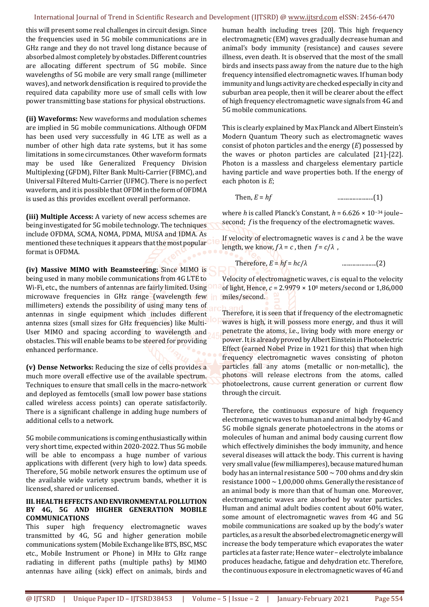#### International Journal of Trend in Scientific Research and Development (IJTSRD) @ www.ijtsrd.com eISSN: 2456-6470

this will present some real challenges in circuit design. Since the frequencies used in 5G mobile communications are in GHz range and they do not travel long distance because of absorbed almost completely by obstacles. Different countries are allocating different spectrum of 5G mobile. Since wavelengths of 5G mobile are very small range (millimeter waves), and network densification is required to provide the required data capability more use of small cells with low power transmitting base stations for physical obstructions.

**(ii) Waveforms:** New waveforms and modulation schemes are implied in 5G mobile communications. Although OFDM has been used very successfully in 4G LTE as well as a number of other high data rate systems, but it has some limitations in some circumstances. Other waveform formats may be used like Generalized Frequency Division Multiplexing (GFDM), Filter Bank Multi-Carrier (FBMC), and Universal Filtered Multi-Carrier (UFMC). There is no perfect waveform, and it is possible that OFDM in the form of OFDMA is used as this provides excellent overall performance.

**(iii) Multiple Access:** A variety of new access schemes are being investigated for 5G mobile technology. The techniques include OFDMA, SCMA, NOMA, PDMA, MUSA and IDMA. As mentioned these techniques it appears that the most popular format is OFDMA.

**(iv) Massive MIMO with Beamsteering:** Since MIMO is being used in many mobile communications from 4G LTE to Wi-Fi, etc., the numbers of antennas are fairly limited. Using microwave frequencies in GHz range (wavelength few millimeters) extends the possibility of using many tens of antennas in single equipment which includes different antenna sizes (small sizes for GHz frequencies) like Multi-User MIMO and spacing according to wavelength and obstacles. This will enable beams to be steered for providing enhanced performance.

**(v) Dense Networks:** Reducing the size of cells provides a much more overall effective use of the available spectrum. Techniques to ensure that small cells in the macro-network and deployed as femtocells (small low power base stations called wireless access points) can operate satisfactorily. There is a significant challenge in adding huge numbers of additional cells to a network.

5G mobile communications is coming enthusiastically within very short time, expected within 2020-2022. Thus 5G mobile will be able to encompass a huge number of various applications with different (very high to low) data speeds. Therefore, 5G mobile network ensures the optimum use of the available wide variety spectrum bands, whether it is licensed, shared or unlicensed.

#### **III. HEALTH EFFECTS AND ENVIRONMENTAL POLLUTION BY 4G, 5G AND HIGHER GENERATION MOBILE COMMUNICATIONS**

This super high frequency electromagnetic waves transmitted by 4G, 5G and higher generation mobile communications system (Mobile Exchange like BTS, BSC, MSC etc., Mobile Instrument or Phone) in MHz to GHz range radiating in different paths (multiple paths) by MIMO antennas have ailing (sick) effect on animals, birds and

human health including trees [20]. This high frequency electromagnetic (EM) waves gradually decrease human and animal's body immunity (resistance) and causes severe illness, even death. It is observed that the most of the small birds and insects pass away from the nature due to the high frequency intensified electromagnetic waves. If human body immunity and lungs activity are checked especially in city and suburban area people, then it will be clearer about the effect of high frequency electromagnetic wave signals from 4G and 5G mobile communications.

This is clearly explained by Max Planck and Albert Einstein's Modern Quantum Theory such as electromagnetic waves consist of photon particles and the energy (*E*) possessed by the waves or photon particles are calculated [21]-[22]. Photon is a massless and chargeless elementary particle having particle and wave properties both. If the energy of each photon is *E*;

Then, *E* = *hf* ........................(1)

where *h* is called Planck's Constant, *h* = 6.626 × 10−34 joule– second; *f* is the frequency of the electromagnetic waves.

If velocity of electromagnetic waves is *c* and *λ* be the wave length, we know,  $f \lambda = c$ , then  $f = c/\lambda$ ,

Therefore, *E* = *hf* = *hc*/*λ* .......................(2)

Velocity of electromagnetic waves, *c* is equal to the velocity of light, Hence, *c* = 2.9979 × 108 meters/second or 1,86,000 miles/second.

Therefore, it is seen that if frequency of the electromagnetic waves is high, it will possess more energy, and thus it will penetrate the atoms, i.e., living body with more energy or power. It is already proved by Albert Einstein in Photoelectric Effect (earned Nobel Prize in 1921 for this) that when high frequency electromagnetic waves consisting of photon particles fall any atoms (metallic or non-metallic), the photons will release electrons from the atoms, called photoelectrons, cause current generation or current flow through the circuit.

Therefore, the continuous exposure of high frequency electromagnetic waves to human and animal body by 4G and 5G mobile signals generate photoelectrons in the atoms or molecules of human and animal body causing current flow which effectively diminishes the body immunity, and hence several diseases will attack the body. This current is having very small value (few milliamperes), because matured human body has an internal resistance  $500 \sim 700$  ohms and dry skin resistance  $1000 \sim 1.00,000$  ohms. Generally the resistance of an animal body is more than that of human one. Moreover, electromagnetic waves are absorbed by water particles. Human and animal adult bodies content about 60% water, some amount of electromagnetic waves from 4G and 5G mobile communications are soaked up by the body's water particles, as a result the absorbed electromagnetic energy will increase the body temperature which evaporates the water particles at a faster rate; Hence water − electrolyte imbalance produces headache, fatigue and dehydration etc. Therefore, the continuous exposure in electromagnetic waves of 4G and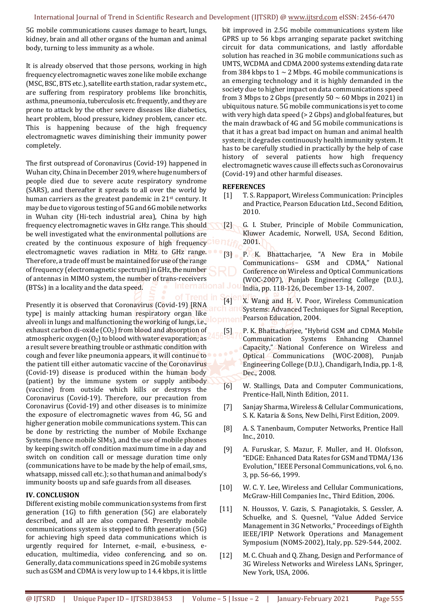5G mobile communications causes damage to heart, lungs, kidney, brain and all other organs of the human and animal body, turning to less immunity as a whole.

It is already observed that those persons, working in high frequency electromagnetic waves zone like mobile exchange (MSC, BSC, BTS etc.), satellite earth station, radar system etc., are suffering from respiratory problems like bronchitis, asthma, pneumonia, tuberculosis etc. frequently, and they are prone to attack by the other severe diseases like diabetics, heart problem, blood pressure, kidney problem, cancer etc. This is happening because of the high frequency electromagnetic waves diminishing their immunity power completely.

The first outspread of Coronavirus (Covid-19) happened in Wuhan city, China in December 2019, where huge numbers of people died due to severe acute respiratory syndrome (SARS), and thereafter it spreads to all over the world by human carriers as the greatest pandemic in 21<sup>st</sup> century. It may be due to vigorous testing of 5G and 6G mobile networks in Wuhan city (Hi-tech industrial area), China by high frequency electromagnetic waves in GHz range. This should be well investigated what the environmental pollutions are created by the continuous exposure of high frequency electromagnetic waves radiation in MHz to GHz range. Therefore, a trade off must be maintained for use of the range of frequency (electromagnetic spectrum) in GHz, the number of antennas in MIMO system, the number of trans-receivers (BTSs) in a locality and the data speed.

Presently it is observed that Coronavirus (Covid-19) [RNA type] is mainly attacking human respiratory organ like alveoli in lungs and malfunctioning the working of lungs, i.e., exhaust carbon di-oxide  $(CO_2)$  from blood and absorption of atmospheric oxygen  $(0<sub>2</sub>)$  to blood with water evaporation; as a result severe breathing trouble or asthmatic condition with cough and fever like pneumonia appears, it will continue to the patient till either automatic vaccine of the Coronavirus (Covid-19) disease is produced within the human body (patient) by the immune system or supply antibody (vaccine) from outside which kills or destroys the Coronavirus (Covid-19). Therefore, our precaution from Coronavirus (Covid-19) and other diseases is to minimize the exposure of electromagnetic waves from 4G, 5G and higher generation mobile communications system. This can be done by restricting the number of Mobile Exchange Systems (hence mobile SIMs), and the use of mobile phones by keeping switch off condition maximum time in a day and switch on condition call or message duration time only (communications have to be made by the help of email, sms, whatsapp, missed call etc.); so that human and animal body's immunity boosts up and safe guards from all diseases.

# **IV. CONCLUSION**

Different existing mobile communication systems from first generation (1G) to fifth generation (5G) are elaborately described, and all are also compared. Presently mobile communications system is stepped to fifth generation (5G) for achieving high speed data communications which is urgently required for Internet, e-mail, e-business, eeducation, multimedia, video conferencing, and so on. Generally, data communications speed in 2G mobile systems such as GSM and CDMA is very low up to 14.4 kbps, it is little

bit improved in 2.5G mobile communications system like GPRS up to 56 kbps arranging separate packet switching circuit for data communications, and lastly affordable solution has reached in 3G mobile communications such as UMTS, WCDMA and CDMA 2000 systems extending data rate from 384 kbps to  $1 \sim 2$  Mbps. 4G mobile communications is an emerging technology and it is highly demanded in the society due to higher impact on data communications speed from 3 Mbps to 2 Gbps (presently  $50 \sim 60$  Mbps in 2021) in ubiquitous nature. 5G mobile communications is yet to come with very high data speed (> 2 Gbps) and global features, but the main drawback of 4G and 5G mobile communications is that it has a great bad impact on human and animal health system; it degrades continuously health immunity system. It has to be carefully studied in practically by the help of case history of several patients how high frequency electromagnetic waves cause ill effects such as Coronovairus (Covid-19) and other harmful diseases.

### **REFERENCES**

- [1] T. S. Rappaport, Wireless Communication: Principles and Practice, Pearson Education Ltd., Second Edition, 2010.
- [2] G. I. Stuber, Principle of Mobile Communication, Kluwer Academic, Norwell, USA, Second Edition, 2001.
- [3] P. K. Bhattacharjee, "A New Era in Mobile Communications− GSM and CDMA," National Conference on Wireless and Optical Communications (WOC-2007), Punjab Engineering College (D.U.), India, pp. 118-126, December 13-14, 2007.

[4] X. Wang and H. V. Poor, Wireless Communication **Ch and Systems: Advanced Techniques for Signal Reception,** Pearson Education, 2004.

- [5] P. K. Bhattacharjee, "Hybrid GSM and CDMA Mobile Communication Systems Enhancing Channel Capacity," National Conference on Wireless and Optical Communications (WOC-2008), Punjab Engineering College (D.U.), Chandigarh, India, pp. 1-8, Dec., 2008.
- [6] W. Stallings, Data and Computer Communications, Prentice-Hall, Ninth Edition, 2011.
- [7] Sanjay Sharma, Wireless & Cellular Communications, S. K. Kataria & Sons, New Delhi, First Edition, 2009.
- [8] A. S. Tanenbaum, Computer Networks, Prentice Hall Inc., 2010.
- [9] A. Furuskar, S. Mazur, F. Muller, and H. Olofsson, "EDGE: Enhanced Data Rates for GSM and TDMA/136 Evolution," IEEE Personal Communications, vol. 6, no. 3, pp. 56-66, 1999.
- [10] W. C. Y. Lee, Wireless and Cellular Communications, McGraw-Hill Companies Inc., Third Edition, 2006.
- [11] N. Houssos, V. Gazis, S. Panagiotakis, S. Gessler, A. Schuelke, and S. Quesnel, "Value Added Service Management in 3G Networks," Proceedings of Eighth IEEE/IFIP Network Operations and Management Symposium (NOMS-2002), Italy, pp. 529-544, 2002.
- [12] M. C. Chuah and Q. Zhang, Design and Performance of 3G Wireless Networks and Wireless LANs, Springer, New York, USA, 2006.